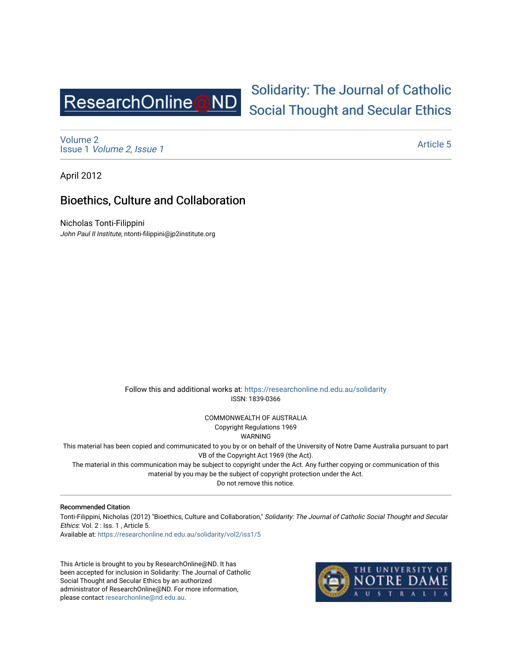

# [Solidarity: The Journal of Catholic](https://researchonline.nd.edu.au/solidarity)  [Social Thought and Secular Ethics](https://researchonline.nd.edu.au/solidarity)

[Volume 2](https://researchonline.nd.edu.au/solidarity/vol2) Issue 1 [Volume 2, Issue 1](https://researchonline.nd.edu.au/solidarity/vol2/iss1) 

[Article 5](https://researchonline.nd.edu.au/solidarity/vol2/iss1/5) 

April 2012

## Bioethics, Culture and Collaboration

Nicholas Tonti-Filippini John Paul II Institute, ntonti-filippini@jp2institute.org

> Follow this and additional works at: [https://researchonline.nd.edu.au/solidarity](https://researchonline.nd.edu.au/solidarity?utm_source=researchonline.nd.edu.au%2Fsolidarity%2Fvol2%2Fiss1%2F5&utm_medium=PDF&utm_campaign=PDFCoverPages)  ISSN: 1839-0366

> > COMMONWEALTH OF AUSTRALIA Copyright Regulations 1969

WARNING

This material has been copied and communicated to you by or on behalf of the University of Notre Dame Australia pursuant to part VB of the Copyright Act 1969 (the Act).

The material in this communication may be subject to copyright under the Act. Any further copying or communication of this material by you may be the subject of copyright protection under the Act.

Do not remove this notice.

#### Recommended Citation

Tonti-Filippini, Nicholas (2012) "Bioethics, Culture and Collaboration," Solidarity: The Journal of Catholic Social Thought and Secular Ethics: Vol. 2 : Iss. 1 , Article 5.

Available at: [https://researchonline.nd.edu.au/solidarity/vol2/iss1/5](https://researchonline.nd.edu.au/solidarity/vol2/iss1/5?utm_source=researchonline.nd.edu.au%2Fsolidarity%2Fvol2%2Fiss1%2F5&utm_medium=PDF&utm_campaign=PDFCoverPages) 

This Article is brought to you by ResearchOnline@ND. It has been accepted for inclusion in Solidarity: The Journal of Catholic Social Thought and Secular Ethics by an authorized administrator of ResearchOnline@ND. For more information, please contact [researchonline@nd.edu.au.](mailto:researchonline@nd.edu.au)

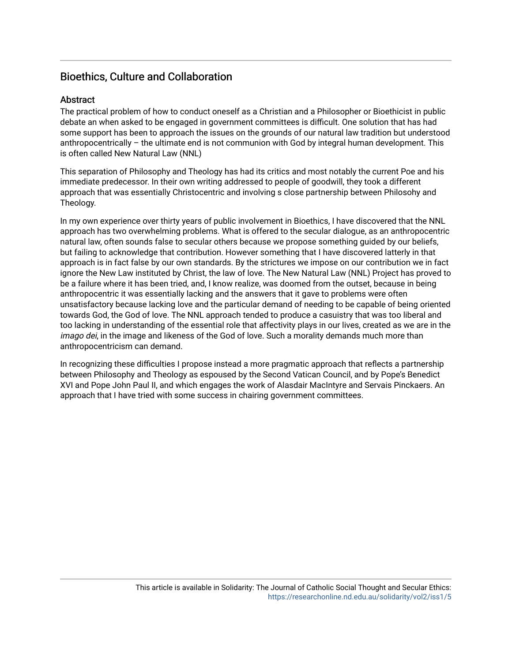## Bioethics, Culture and Collaboration

#### **Abstract**

The practical problem of how to conduct oneself as a Christian and a Philosopher or Bioethicist in public debate an when asked to be engaged in government committees is difficult. One solution that has had some support has been to approach the issues on the grounds of our natural law tradition but understood anthropocentrically – the ultimate end is not communion with God by integral human development. This is often called New Natural Law (NNL)

This separation of Philosophy and Theology has had its critics and most notably the current Poe and his immediate predecessor. In their own writing addressed to people of goodwill, they took a different approach that was essentially Christocentric and involving s close partnership between Philosohy and Theology.

In my own experience over thirty years of public involvement in Bioethics, I have discovered that the NNL approach has two overwhelming problems. What is offered to the secular dialogue, as an anthropocentric natural law, often sounds false to secular others because we propose something guided by our beliefs, but failing to acknowledge that contribution. However something that I have discovered latterly in that approach is in fact false by our own standards. By the strictures we impose on our contribution we in fact ignore the New Law instituted by Christ, the law of love. The New Natural Law (NNL) Project has proved to be a failure where it has been tried, and, I know realize, was doomed from the outset, because in being anthropocentric it was essentially lacking and the answers that it gave to problems were often unsatisfactory because lacking love and the particular demand of needing to be capable of being oriented towards God, the God of love. The NNL approach tended to produce a casuistry that was too liberal and too lacking in understanding of the essential role that affectivity plays in our lives, created as we are in the imago dei, in the image and likeness of the God of love. Such a morality demands much more than anthropocentricism can demand.

In recognizing these difficulties I propose instead a more pragmatic approach that reflects a partnership between Philosophy and Theology as espoused by the Second Vatican Council, and by Pope's Benedict XVI and Pope John Paul II, and which engages the work of Alasdair MacIntyre and Servais Pinckaers. An approach that I have tried with some success in chairing government committees.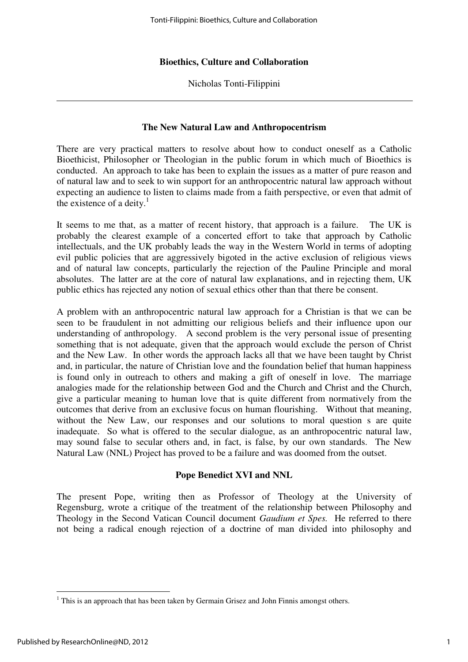#### **Bioethics, Culture and Collaboration**

Nicholas Tonti-Filippini

#### **The New Natural Law and Anthropocentrism**

There are very practical matters to resolve about how to conduct oneself as a Catholic Bioethicist, Philosopher or Theologian in the public forum in which much of Bioethics is conducted. An approach to take has been to explain the issues as a matter of pure reason and of natural law and to seek to win support for an anthropocentric natural law approach without expecting an audience to listen to claims made from a faith perspective, or even that admit of the existence of a deity.<sup>1</sup>

It seems to me that, as a matter of recent history, that approach is a failure. The UK is probably the clearest example of a concerted effort to take that approach by Catholic intellectuals, and the UK probably leads the way in the Western World in terms of adopting evil public policies that are aggressively bigoted in the active exclusion of religious views and of natural law concepts, particularly the rejection of the Pauline Principle and moral absolutes. The latter are at the core of natural law explanations, and in rejecting them, UK public ethics has rejected any notion of sexual ethics other than that there be consent.

A problem with an anthropocentric natural law approach for a Christian is that we can be seen to be fraudulent in not admitting our religious beliefs and their influence upon our understanding of anthropology. A second problem is the very personal issue of presenting something that is not adequate, given that the approach would exclude the person of Christ and the New Law. In other words the approach lacks all that we have been taught by Christ and, in particular, the nature of Christian love and the foundation belief that human happiness is found only in outreach to others and making a gift of oneself in love. The marriage analogies made for the relationship between God and the Church and Christ and the Church, give a particular meaning to human love that is quite different from normatively from the outcomes that derive from an exclusive focus on human flourishing. Without that meaning, without the New Law, our responses and our solutions to moral question s are quite inadequate. So what is offered to the secular dialogue, as an anthropocentric natural law, may sound false to secular others and, in fact, is false, by our own standards. The New Natural Law (NNL) Project has proved to be a failure and was doomed from the outset.

#### **Pope Benedict XVI and NNL**

The present Pope, writing then as Professor of Theology at the University of Regensburg, wrote a critique of the treatment of the relationship between Philosophy and Theology in the Second Vatican Council document *Gaudium et Spes.* He referred to there not being a radical enough rejection of a doctrine of man divided into philosophy and

 $<sup>1</sup>$  This is an approach that has been taken by Germain Grisez and John Finnis amongst others.</sup>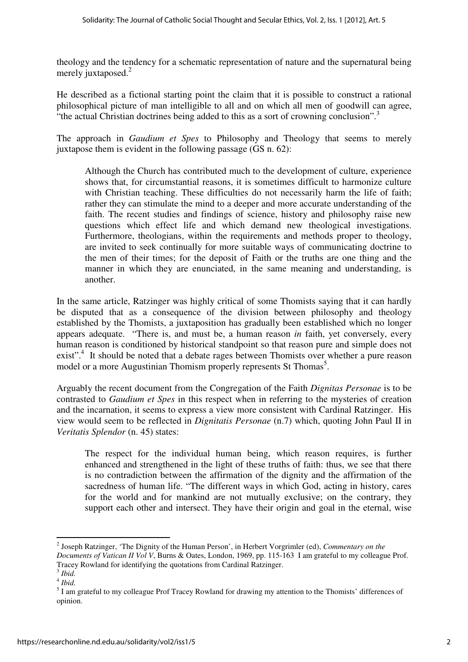theology and the tendency for a schematic representation of nature and the supernatural being merely juxtaposed.<sup>2</sup>

He described as a fictional starting point the claim that it is possible to construct a rational philosophical picture of man intelligible to all and on which all men of goodwill can agree, "the actual Christian doctrines being added to this as a sort of crowning conclusion".<sup>3</sup>

The approach in *Gaudium et Spes* to Philosophy and Theology that seems to merely juxtapose them is evident in the following passage (GS n. 62):

Although the Church has contributed much to the development of culture, experience shows that, for circumstantial reasons, it is sometimes difficult to harmonize culture with Christian teaching. These difficulties do not necessarily harm the life of faith; rather they can stimulate the mind to a deeper and more accurate understanding of the faith. The recent studies and findings of science, history and philosophy raise new questions which effect life and which demand new theological investigations. Furthermore, theologians, within the requirements and methods proper to theology, are invited to seek continually for more suitable ways of communicating doctrine to the men of their times; for the deposit of Faith or the truths are one thing and the manner in which they are enunciated, in the same meaning and understanding, is another.

In the same article, Ratzinger was highly critical of some Thomists saying that it can hardly be disputed that as a consequence of the division between philosophy and theology established by the Thomists, a juxtaposition has gradually been established which no longer appears adequate. "There is, and must be, a human reason *in* faith, yet conversely, every human reason is conditioned by historical standpoint so that reason pure and simple does not exist".<sup>4</sup> It should be noted that a debate rages between Thomists over whether a pure reason model or a more Augustinian Thomism properly represents St Thomas<sup>5</sup>.

Arguably the recent document from the Congregation of the Faith *Dignitas Personae* is to be contrasted to *Gaudium et Spes* in this respect when in referring to the mysteries of creation and the incarnation, it seems to express a view more consistent with Cardinal Ratzinger. His view would seem to be reflected in *Dignitatis Personae* (n.7) which, quoting John Paul II in *Veritatis Splendor* (n. 45) states:

The respect for the individual human being, which reason requires, is further enhanced and strengthened in the light of these truths of faith: thus, we see that there is no contradiction between the affirmation of the dignity and the affirmation of the sacredness of human life. "The different ways in which God, acting in history, cares for the world and for mankind are not mutually exclusive; on the contrary, they support each other and intersect. They have their origin and goal in the eternal, wise

<sup>2</sup> Joseph Ratzinger, 'The Dignity of the Human Person', in Herbert Vorgrimler (ed), *Commentary on the Documents of Vatican II Vol V*, Burns & Oates, London, 1969, pp. 115-163 I am grateful to my colleague Prof. Tracey Rowland for identifying the quotations from Cardinal Ratzinger.

<sup>3</sup> *Ibid.* 

<sup>4</sup> *Ibid.*

<sup>&</sup>lt;sup>5</sup> I am grateful to my colleague Prof Tracey Rowland for drawing my attention to the Thomists' differences of opinion.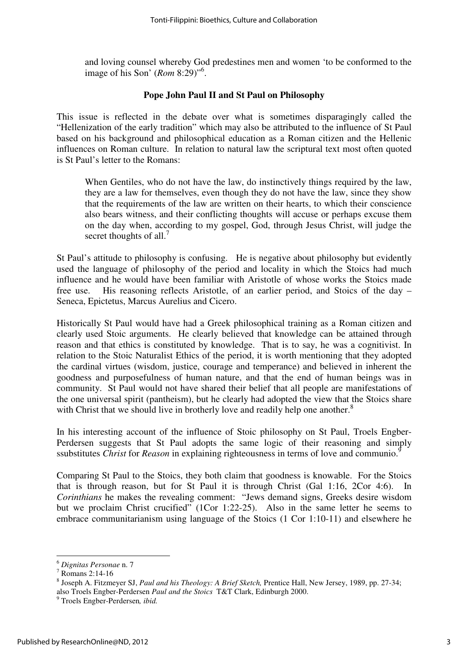and loving counsel whereby God predestines men and women 'to be conformed to the image of his Son' (*Rom* 8:29)"<sup>6</sup>.

#### **Pope John Paul II and St Paul on Philosophy**

This issue is reflected in the debate over what is sometimes disparagingly called the "Hellenization of the early tradition" which may also be attributed to the influence of St Paul based on his background and philosophical education as a Roman citizen and the Hellenic influences on Roman culture. In relation to natural law the scriptural text most often quoted is St Paul's letter to the Romans:

When Gentiles, who do not have the law, do instinctively things required by the law, they are a law for themselves, even though they do not have the law, since they show that the requirements of the law are written on their hearts, to which their conscience also bears witness, and their conflicting thoughts will accuse or perhaps excuse them on the day when, according to my gospel, God, through Jesus Christ, will judge the secret thoughts of all.<sup>7</sup>

St Paul's attitude to philosophy is confusing. He is negative about philosophy but evidently used the language of philosophy of the period and locality in which the Stoics had much influence and he would have been familiar with Aristotle of whose works the Stoics made free use. His reasoning reflects Aristotle, of an earlier period, and Stoics of the day – Seneca, Epictetus, Marcus Aurelius and Cicero.

Historically St Paul would have had a Greek philosophical training as a Roman citizen and clearly used Stoic arguments. He clearly believed that knowledge can be attained through reason and that ethics is constituted by knowledge. That is to say, he was a cognitivist. In relation to the Stoic Naturalist Ethics of the period, it is worth mentioning that they adopted the cardinal virtues (wisdom, justice, courage and temperance) and believed in inherent the goodness and purposefulness of human nature, and that the end of human beings was in community. St Paul would not have shared their belief that all people are manifestations of the one universal spirit (pantheism), but he clearly had adopted the view that the Stoics share with Christ that we should live in brotherly love and readily help one another.<sup>8</sup>

In his interesting account of the influence of Stoic philosophy on St Paul, Troels Engber-Perdersen suggests that St Paul adopts the same logic of their reasoning and simply ssubstitutes *Christ* for *Reason* in explaining righteousness in terms of love and communio.<sup>9</sup>

Comparing St Paul to the Stoics, they both claim that goodness is knowable. For the Stoics that is through reason, but for St Paul it is through Christ (Gal 1:16, 2Cor 4:6). In *Corinthians* he makes the revealing comment: "Jews demand signs, Greeks desire wisdom but we proclaim Christ crucified" (1Cor 1:22-25). Also in the same letter he seems to embrace communitarianism using language of the Stoics (1 Cor 1:10-11) and elsewhere he

<sup>6</sup> *Dignitas Personae* n. 7

<sup>7</sup> Romans 2:14-16

<sup>8</sup> Joseph A. Fitzmeyer SJ, *Paul and his Theology: A Brief Sketch,* Prentice Hall, New Jersey, 1989, pp. 27-34; also Troels Engber-Perdersen *Paul and the Stoics* T&T Clark, Edinburgh 2000.

<sup>9</sup> Troels Engber-Perdersen*, ibid.*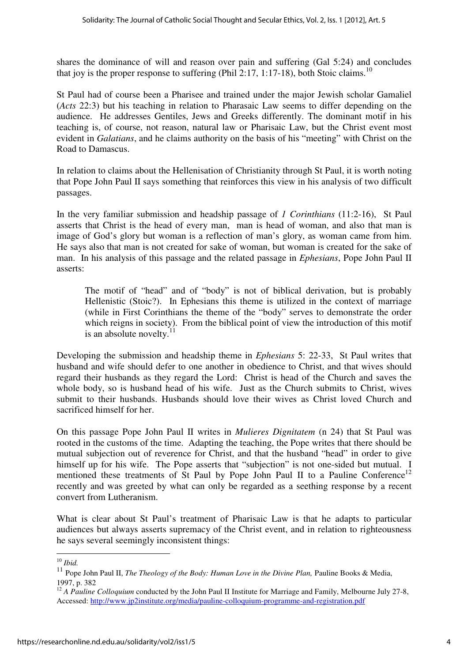shares the dominance of will and reason over pain and suffering (Gal 5:24) and concludes that joy is the proper response to suffering (Phil 2:17, 1:17-18), both Stoic claims.<sup>10</sup>

St Paul had of course been a Pharisee and trained under the major Jewish scholar Gamaliel (*Acts* 22:3) but his teaching in relation to Pharasaic Law seems to differ depending on the audience. He addresses Gentiles, Jews and Greeks differently. The dominant motif in his teaching is, of course, not reason, natural law or Pharisaic Law, but the Christ event most evident in *Galatians*, and he claims authority on the basis of his "meeting" with Christ on the Road to Damascus.

In relation to claims about the Hellenisation of Christianity through St Paul, it is worth noting that Pope John Paul II says something that reinforces this view in his analysis of two difficult passages.

In the very familiar submission and headship passage of *1 Corinthians* (11:2-16), St Paul asserts that Christ is the head of every man, man is head of woman, and also that man is image of God's glory but woman is a reflection of man's glory, as woman came from him. He says also that man is not created for sake of woman, but woman is created for the sake of man. In his analysis of this passage and the related passage in *Ephesians*, Pope John Paul II asserts:

The motif of "head" and of "body" is not of biblical derivation, but is probably Hellenistic (Stoic?). In Ephesians this theme is utilized in the context of marriage (while in First Corinthians the theme of the "body" serves to demonstrate the order which reigns in society). From the biblical point of view the introduction of this motif is an absolute novelty. $\frac{1}{1}$ 

Developing the submission and headship theme in *Ephesians* 5: 22-33, St Paul writes that husband and wife should defer to one another in obedience to Christ, and that wives should regard their husbands as they regard the Lord: Christ is head of the Church and saves the whole body, so is husband head of his wife. Just as the Church submits to Christ, wives submit to their husbands. Husbands should love their wives as Christ loved Church and sacrificed himself for her.

On this passage Pope John Paul II writes in *Mulieres Dignitatem* (n 24) that St Paul was rooted in the customs of the time. Adapting the teaching, the Pope writes that there should be mutual subjection out of reverence for Christ, and that the husband "head" in order to give himself up for his wife. The Pope asserts that "subjection" is not one-sided but mutual. I mentioned these treatments of St Paul by Pope John Paul II to a Pauline Conference<sup>12</sup> recently and was greeted by what can only be regarded as a seething response by a recent convert from Lutheranism.

What is clear about St Paul's treatment of Pharisaic Law is that he adapts to particular audiences but always asserts supremacy of the Christ event, and in relation to righteousness he says several seemingly inconsistent things:

 $\overline{a}$ <sup>10</sup> *Ibid.*

<sup>11</sup> Pope John Paul II, *The Theology of the Body: Human Love in the Divine Plan,* Pauline Books & Media, 1997, p. 382

<sup>&</sup>lt;sup>12</sup> *A Pauline Colloquium* conducted by the John Paul II Institute for Marriage and Family, Melbourne July 27-8, Accessed: http://www.jp2institute.org/media/pauline-colloquium-programme-and-registration.pdf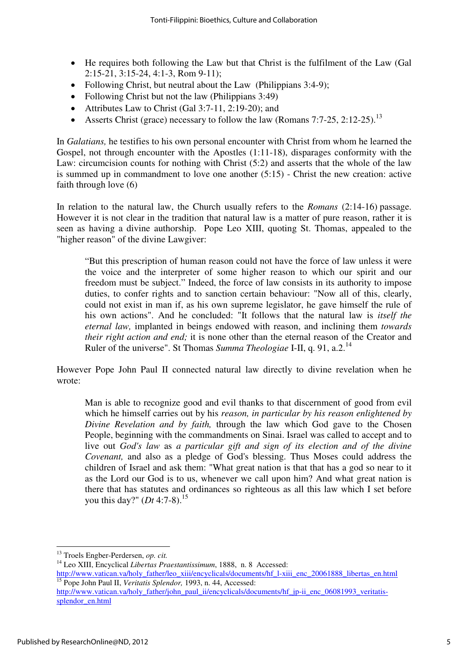- He requires both following the Law but that Christ is the fulfilment of the Law (Gal 2:15-21, 3:15-24, 4:1-3, Rom 9-11);
- Following Christ, but neutral about the Law (Philippians 3:4-9);
- Following Christ but not the law (Philippians 3:49)
- Attributes Law to Christ (Gal 3:7-11, 2:19-20); and
- Asserts Christ (grace) necessary to follow the law (Romans 7:7-25, 2:12-25).<sup>13</sup>

In *Galatians,* he testifies to his own personal encounter with Christ from whom he learned the Gospel, not through encounter with the Apostles (1:11-18), disparages conformity with the Law: circumcision counts for nothing with Christ (5:2) and asserts that the whole of the law is summed up in commandment to love one another (5:15) - Christ the new creation: active faith through love (6)

In relation to the natural law, the Church usually refers to the *Romans* (2:14-16) passage. However it is not clear in the tradition that natural law is a matter of pure reason, rather it is seen as having a divine authorship. Pope Leo XIII, quoting St. Thomas, appealed to the "higher reason" of the divine Lawgiver:

"But this prescription of human reason could not have the force of law unless it were the voice and the interpreter of some higher reason to which our spirit and our freedom must be subject." Indeed, the force of law consists in its authority to impose duties, to confer rights and to sanction certain behaviour: "Now all of this, clearly, could not exist in man if, as his own supreme legislator, he gave himself the rule of his own actions". And he concluded: "It follows that the natural law is *itself the eternal law,* implanted in beings endowed with reason, and inclining them *towards their right action and end;* it is none other than the eternal reason of the Creator and Ruler of the universe". St Thomas *Summa Theologiae* I-II, q. 91, a.2.<sup>14</sup>

However Pope John Paul II connected natural law directly to divine revelation when he wrote:

Man is able to recognize good and evil thanks to that discernment of good from evil which he himself carries out by his *reason, in particular by his reason enlightened by Divine Revelation and by faith,* through the law which God gave to the Chosen People, beginning with the commandments on Sinai. Israel was called to accept and to live out *God's law* as *a particular gift and sign of its election and of the divine Covenant,* and also as a pledge of God's blessing. Thus Moses could address the children of Israel and ask them: "What great nation is that that has a god so near to it as the Lord our God is to us, whenever we call upon him? And what great nation is there that has statutes and ordinances so righteous as all this law which I set before you this day?"  $(Dt 4:7-8).^{15}$ 

<sup>14</sup> Leo XIII, Encyclical *Libertas Praestantissimum*, 1888, n. 8 Accessed:

<sup>13</sup> Troels Engber-Perdersen, *op. cit.*

http://www.vatican.va/holy\_father/leo\_xiii/encyclicals/documents/hf\_l-xiii\_enc\_20061888\_libertas\_en.html <sup>15</sup> Pope John Paul II, *Veritatis Splendor*, 1993, n. 44, Accessed:

http://www.vatican.va/holy\_father/john\_paul\_ii/encyclicals/documents/hf\_jp-ii\_enc\_06081993\_veritatissplendor\_en.html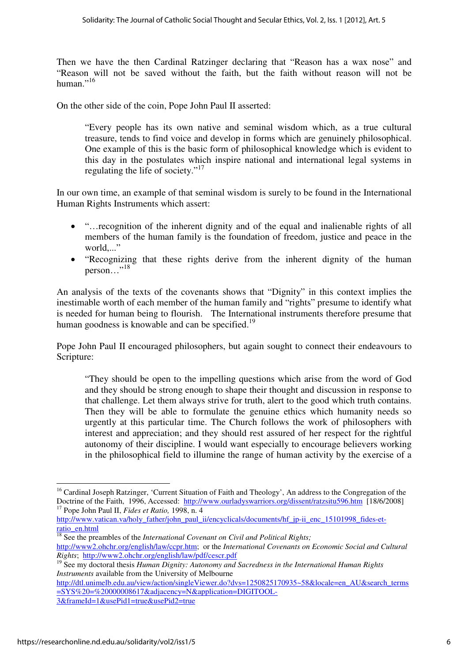Then we have the then Cardinal Ratzinger declaring that "Reason has a wax nose" and "Reason will not be saved without the faith, but the faith without reason will not be human." $^{16}$ 

On the other side of the coin, Pope John Paul II asserted:

"Every people has its own native and seminal wisdom which, as a true cultural treasure, tends to find voice and develop in forms which are genuinely philosophical. One example of this is the basic form of philosophical knowledge which is evident to this day in the postulates which inspire national and international legal systems in regulating the life of society."<sup>17</sup>

In our own time, an example of that seminal wisdom is surely to be found in the International Human Rights Instruments which assert:

- "…recognition of the inherent dignity and of the equal and inalienable rights of all members of the human family is the foundation of freedom, justice and peace in the world...."
- "Recognizing that these rights derive from the inherent dignity of the human person…"<sup>18</sup>

An analysis of the texts of the covenants shows that "Dignity" in this context implies the inestimable worth of each member of the human family and "rights" presume to identify what is needed for human being to flourish. The International instruments therefore presume that human goodness is knowable and can be specified.<sup>19</sup>

Pope John Paul II encouraged philosophers, but again sought to connect their endeavours to Scripture:

"They should be open to the impelling questions which arise from the word of God and they should be strong enough to shape their thought and discussion in response to that challenge. Let them always strive for truth, alert to the good which truth contains. Then they will be able to formulate the genuine ethics which humanity needs so urgently at this particular time. The Church follows the work of philosophers with interest and appreciation; and they should rest assured of her respect for the rightful autonomy of their discipline. I would want especially to encourage believers working in the philosophical field to illumine the range of human activity by the exercise of a

 $\overline{a}$ <sup>16</sup> Cardinal Joseph Ratzinger, 'Current Situation of Faith and Theology', An address to the Congregation of the Doctrine of the Faith, 1996, Accessed: http://www.ourladyswarriors.org/dissent/ratzsitu596.htm [18/6/2008] <sup>17</sup> Pope John Paul II, *Fides et Ratio,* 1998, n. 4

http://www.vatican.va/holy\_father/john\_paul\_ii/encyclicals/documents/hf\_jp-ii\_enc\_15101998\_fides-etratio\_en.html

<sup>&</sup>lt;sup>18</sup> See the preambles of the *International Covenant on Civil and Political Rights*; http://www2.ohchr.org/english/law/ccpr.htm; or the *International Covenants on Economic Social and Cultural Rights*; http://www2.ohchr.org/english/law/pdf/cescr.pdf

<sup>19</sup> See my doctoral thesis *Human Dignity: Autonomy and Sacredness in the International Human Rights Instruments* available from the University of Melbourne

http://dtl.unimelb.edu.au/view/action/singleViewer.do?dvs=1250825170935~58&locale=en\_AU&search\_terms =SYS%20=%20000008617&adjacency=N&application=DIGITOOL-3&frameId=1&usePid1=true&usePid2=true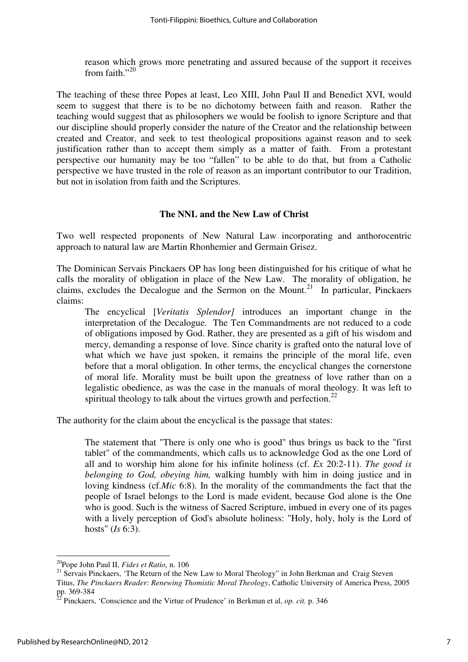reason which grows more penetrating and assured because of the support it receives from faith."20

The teaching of these three Popes at least, Leo XIII, John Paul II and Benedict XVI, would seem to suggest that there is to be no dichotomy between faith and reason. Rather the teaching would suggest that as philosophers we would be foolish to ignore Scripture and that our discipline should properly consider the nature of the Creator and the relationship between created and Creator, and seek to test theological propositions against reason and to seek justification rather than to accept them simply as a matter of faith. From a protestant perspective our humanity may be too "fallen" to be able to do that, but from a Catholic perspective we have trusted in the role of reason as an important contributor to our Tradition, but not in isolation from faith and the Scriptures.

#### **The NNL and the New Law of Christ**

Two well respected proponents of New Natural Law incorporating and anthorocentric approach to natural law are Martin Rhonhemier and Germain Grisez.

The Dominican Servais Pinckaers OP has long been distinguished for his critique of what he calls the morality of obligation in place of the New Law. The morality of obligation, he claims, excludes the Decalogue and the Sermon on the Mount.<sup>21</sup> In particular, Pinckaers claims:

The encyclical [*Veritatis Splendor]* introduces an important change in the interpretation of the Decalogue. The Ten Commandments are not reduced to a code of obligations imposed by God. Rather, they are presented as a gift of his wisdom and mercy, demanding a response of love. Since charity is grafted onto the natural love of what which we have just spoken, it remains the principle of the moral life, even before that a moral obligation. In other terms, the encyclical changes the cornerstone of moral life. Morality must be built upon the greatness of love rather than on a legalistic obedience, as was the case in the manuals of moral theology. It was left to spiritual theology to talk about the virtues growth and perfection.<sup>22</sup>

The authority for the claim about the encyclical is the passage that states:

The statement that "There is only one who is good" thus brings us back to the "first tablet" of the commandments, which calls us to acknowledge God as the one Lord of all and to worship him alone for his infinite holiness (cf. *Ex* 20:2-11). *The good is belonging to God, obeying him,* walking humbly with him in doing justice and in loving kindness (cf.*Mic* 6:8). In the morality of the commandments the fact that the people of Israel belongs to the Lord is made evident, because God alone is the One who is good. Such is the witness of Sacred Scripture, imbued in every one of its pages with a lively perception of God's absolute holiness: "Holy, holy, holy is the Lord of hosts" (*Is* 6:3).

<sup>20</sup>Pope John Paul II, *Fides et Ratio,* n. 106

<sup>&</sup>lt;sup>21</sup> Servais Pinckaers, 'The Return of the New Law to Moral Theology'' in John Berkman and Craig Steven Titus, *The Pinckaers Reader: Renewing Thomistic Moral Theology*, Catholic University of America Press, 2005 pp. 369-384

 $^{\circ}$  Pinckaers, 'Conscience and the Virtue of Prudence' in Berkman et al, *op. cit.* p. 346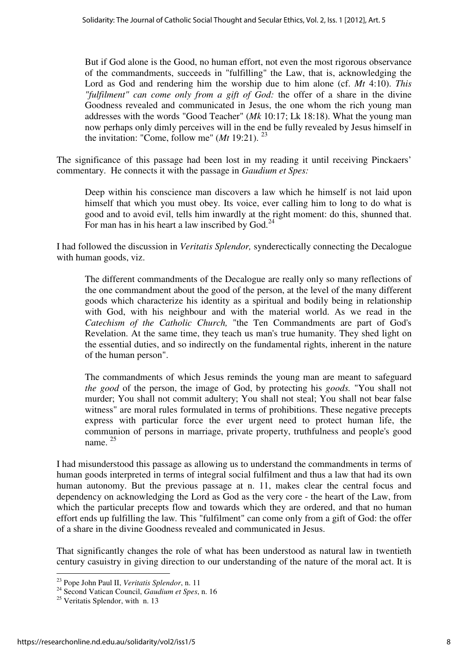But if God alone is the Good, no human effort, not even the most rigorous observance of the commandments, succeeds in "fulfilling" the Law, that is, acknowledging the Lord as God and rendering him the worship due to him alone (cf. *Mt* 4:10). *This "fulfilment" can come only from a gift of God:* the offer of a share in the divine Goodness revealed and communicated in Jesus, the one whom the rich young man addresses with the words "Good Teacher" (*Mk* 10:17; Lk 18:18). What the young man now perhaps only dimly perceives will in the end be fully revealed by Jesus himself in the invitation: "Come, follow me"  $(Mt 19:21)$ . <sup>23</sup>

The significance of this passage had been lost in my reading it until receiving Pinckaers' commentary. He connects it with the passage in *Gaudium et Spes:* 

Deep within his conscience man discovers a law which he himself is not laid upon himself that which you must obey. Its voice, ever calling him to long to do what is good and to avoid evil, tells him inwardly at the right moment: do this, shunned that. For man has in his heart a law inscribed by God. $^{24}$ 

I had followed the discussion in *Veritatis Splendor,* synderectically connecting the Decalogue with human goods, viz.

The different commandments of the Decalogue are really only so many reflections of the one commandment about the good of the person, at the level of the many different goods which characterize his identity as a spiritual and bodily being in relationship with God, with his neighbour and with the material world. As we read in the *Catechism of the Catholic Church,* "the Ten Commandments are part of God's Revelation. At the same time, they teach us man's true humanity. They shed light on the essential duties, and so indirectly on the fundamental rights, inherent in the nature of the human person".

The commandments of which Jesus reminds the young man are meant to safeguard *the good* of the person, the image of God, by protecting his *goods.* "You shall not murder; You shall not commit adultery; You shall not steal; You shall not bear false witness" are moral rules formulated in terms of prohibitions. These negative precepts express with particular force the ever urgent need to protect human life, the communion of persons in marriage, private property, truthfulness and people's good name. <sup>25</sup>

I had misunderstood this passage as allowing us to understand the commandments in terms of human goods interpreted in terms of integral social fulfilment and thus a law that had its own human autonomy. But the previous passage at n. 11, makes clear the central focus and dependency on acknowledging the Lord as God as the very core - the heart of the Law, from which the particular precepts flow and towards which they are ordered, and that no human effort ends up fulfilling the law*.* This "fulfilment" can come only from a gift of God: the offer of a share in the divine Goodness revealed and communicated in Jesus.

That significantly changes the role of what has been understood as natural law in twentieth century casuistry in giving direction to our understanding of the nature of the moral act. It is

<sup>23</sup> Pope John Paul II, *Veritatis Splendor*, n. 11

<sup>24</sup> Second Vatican Council, *Gaudium et Spes*, n. 16

 $25$  Veritatis Splendor, with n. 13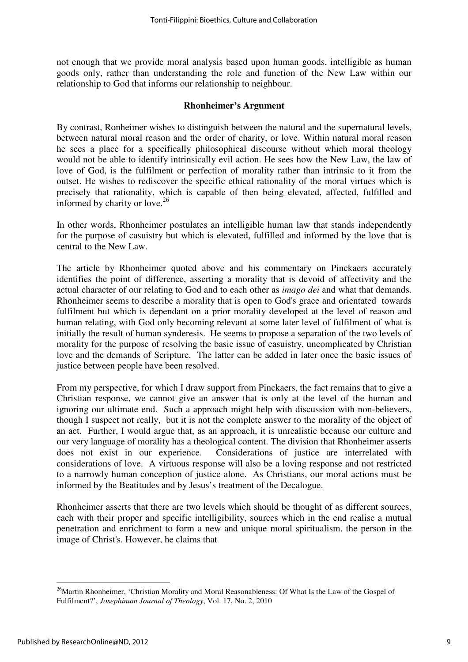not enough that we provide moral analysis based upon human goods, intelligible as human goods only, rather than understanding the role and function of the New Law within our relationship to God that informs our relationship to neighbour.

#### **Rhonheimer's Argument**

By contrast, Ronheimer wishes to distinguish between the natural and the supernatural levels, between natural moral reason and the order of charity, or love. Within natural moral reason he sees a place for a specifically philosophical discourse without which moral theology would not be able to identify intrinsically evil action. He sees how the New Law, the law of love of God, is the fulfilment or perfection of morality rather than intrinsic to it from the outset. He wishes to rediscover the specific ethical rationality of the moral virtues which is precisely that rationality, which is capable of then being elevated, affected, fulfilled and informed by charity or love.<sup>26</sup>

In other words, Rhonheimer postulates an intelligible human law that stands independently for the purpose of casuistry but which is elevated, fulfilled and informed by the love that is central to the New Law.

The article by Rhonheimer quoted above and his commentary on Pinckaers accurately identifies the point of difference, asserting a morality that is devoid of affectivity and the actual character of our relating to God and to each other as *imago dei* and what that demands. Rhonheimer seems to describe a morality that is open to God's grace and orientated towards fulfilment but which is dependant on a prior morality developed at the level of reason and human relating, with God only becoming relevant at some later level of fulfilment of what is initially the result of human synderesis. He seems to propose a separation of the two levels of morality for the purpose of resolving the basic issue of casuistry, uncomplicated by Christian love and the demands of Scripture. The latter can be added in later once the basic issues of justice between people have been resolved.

From my perspective, for which I draw support from Pinckaers, the fact remains that to give a Christian response, we cannot give an answer that is only at the level of the human and ignoring our ultimate end. Such a approach might help with discussion with non-believers, though I suspect not really, but it is not the complete answer to the morality of the object of an act. Further, I would argue that, as an approach, it is unrealistic because our culture and our very language of morality has a theological content. The division that Rhonheimer asserts does not exist in our experience. Considerations of justice are interrelated with considerations of love. A virtuous response will also be a loving response and not restricted to a narrowly human conception of justice alone. As Christians, our moral actions must be informed by the Beatitudes and by Jesus's treatment of the Decalogue.

Rhonheimer asserts that there are two levels which should be thought of as different sources, each with their proper and specific intelligibility, sources which in the end realise a mutual penetration and enrichment to form a new and unique moral spiritualism, the person in the image of Christ's. However, he claims that

 $\overline{a}$ <sup>26</sup>Martin Rhonheimer, 'Christian Morality and Moral Reasonableness: Of What Is the Law of the Gospel of Fulfilment?', *Josephinum Journal of Theology*, Vol. 17, No. 2, 2010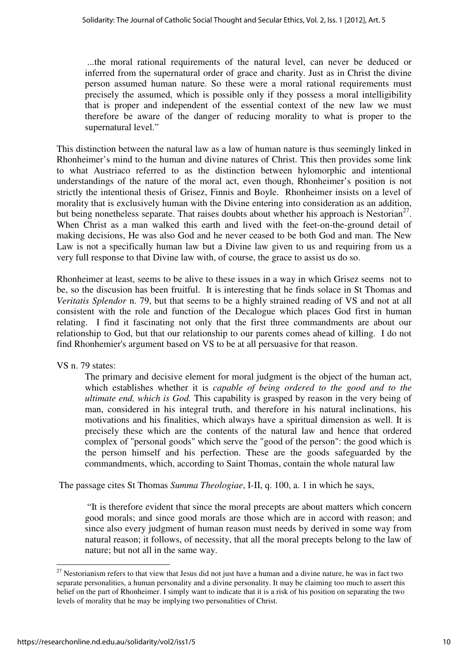...the moral rational requirements of the natural level, can never be deduced or inferred from the supernatural order of grace and charity. Just as in Christ the divine person assumed human nature. So these were a moral rational requirements must precisely the assumed, which is possible only if they possess a moral intelligibility that is proper and independent of the essential context of the new law we must therefore be aware of the danger of reducing morality to what is proper to the supernatural level."

This distinction between the natural law as a law of human nature is thus seemingly linked in Rhonheimer's mind to the human and divine natures of Christ. This then provides some link to what Austriaco referred to as the distinction between hylomorphic and intentional understandings of the nature of the moral act, even though, Rhonheimer's position is not strictly the intentional thesis of Grisez, Finnis and Boyle. Rhonheimer insists on a level of morality that is exclusively human with the Divine entering into consideration as an addition, but being nonetheless separate. That raises doubts about whether his approach is Nestorian<sup>27</sup>. When Christ as a man walked this earth and lived with the feet-on-the-ground detail of making decisions, He was also God and he never ceased to be both God and man. The New Law is not a specifically human law but a Divine law given to us and requiring from us a very full response to that Divine law with, of course, the grace to assist us do so.

Rhonheimer at least, seems to be alive to these issues in a way in which Grisez seems not to be, so the discusion has been fruitful. It is interesting that he finds solace in St Thomas and *Veritatis Splendor* n. 79, but that seems to be a highly strained reading of VS and not at all consistent with the role and function of the Decalogue which places God first in human relating. I find it fascinating not only that the first three commandments are about our relationship to God, but that our relationship to our parents comes ahead of killing. I do not find Rhonhemier's argument based on VS to be at all persuasive for that reason.

VS n. 79 states:

The primary and decisive element for moral judgment is the object of the human act, which establishes whether it is *capable of being ordered to the good and to the ultimate end, which is God.* This capability is grasped by reason in the very being of man, considered in his integral truth, and therefore in his natural inclinations, his motivations and his finalities, which always have a spiritual dimension as well. It is precisely these which are the contents of the natural law and hence that ordered complex of "personal goods" which serve the "good of the person": the good which is the person himself and his perfection. These are the goods safeguarded by the commandments, which, according to Saint Thomas, contain the whole natural law

The passage cites St Thomas *Summa Theologiae*, I-II, q. 100, a. 1 in which he says,

 "It is therefore evident that since the moral precepts are about matters which concern good morals; and since good morals are those which are in accord with reason; and since also every judgment of human reason must needs by derived in some way from natural reason; it follows, of necessity, that all the moral precepts belong to the law of nature; but not all in the same way.

 $27$  Nestorianism refers to that view that Jesus did not just have a human and a divine nature, he was in fact two separate personalities, a human personality and a divine personality. It may be claiming too much to assert this belief on the part of Rhonheimer. I simply want to indicate that it is a risk of his position on separating the two levels of morality that he may be implying two personalities of Christ.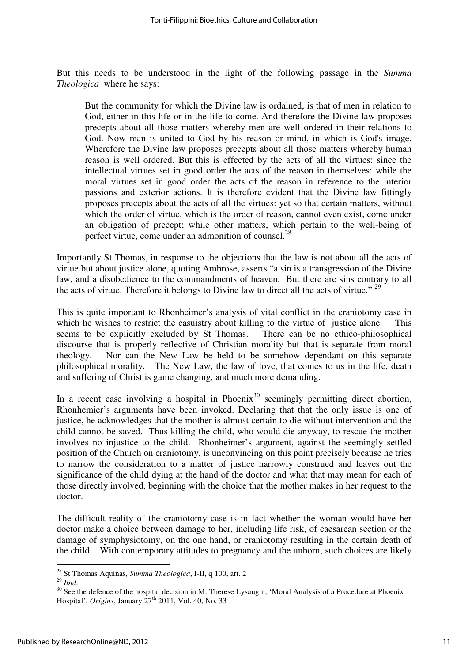But this needs to be understood in the light of the following passage in the *Summa Theologica* where he says:

But the community for which the Divine law is ordained, is that of men in relation to God, either in this life or in the life to come. And therefore the Divine law proposes precepts about all those matters whereby men are well ordered in their relations to God. Now man is united to God by his reason or mind, in which is God's image. Wherefore the Divine law proposes precepts about all those matters whereby human reason is well ordered. But this is effected by the acts of all the virtues: since the intellectual virtues set in good order the acts of the reason in themselves: while the moral virtues set in good order the acts of the reason in reference to the interior passions and exterior actions. It is therefore evident that the Divine law fittingly proposes precepts about the acts of all the virtues: yet so that certain matters, without which the order of virtue, which is the order of reason, cannot even exist, come under an obligation of precept; while other matters, which pertain to the well-being of perfect virtue, come under an admonition of counsel.<sup>28</sup>

Importantly St Thomas, in response to the objections that the law is not about all the acts of virtue but about justice alone, quoting Ambrose, asserts "a sin is a transgression of the Divine law, and a disobedience to the commandments of heaven. But there are sins contrary to all the acts of virtue. Therefore it belongs to Divine law to direct all the acts of virtue."  $^{29}$ 

This is quite important to Rhonheimer's analysis of vital conflict in the craniotomy case in which he wishes to restrict the casuistry about killing to the virtue of justice alone. This seems to be explicitly excluded by St Thomas. There can be no ethico-philosophical discourse that is properly reflective of Christian morality but that is separate from moral theology. Nor can the New Law be held to be somehow dependant on this separate philosophical morality. The New Law, the law of love, that comes to us in the life, death and suffering of Christ is game changing, and much more demanding.

In a recent case involving a hospital in Phoenix<sup>30</sup> seemingly permitting direct abortion, Rhonhemier's arguments have been invoked. Declaring that that the only issue is one of justice, he acknowledges that the mother is almost certain to die without intervention and the child cannot be saved. Thus killing the child, who would die anyway, to rescue the mother involves no injustice to the child. Rhonheimer's argument, against the seemingly settled position of the Church on craniotomy, is unconvincing on this point precisely because he tries to narrow the consideration to a matter of justice narrowly construed and leaves out the significance of the child dying at the hand of the doctor and what that may mean for each of those directly involved, beginning with the choice that the mother makes in her request to the doctor.

The difficult reality of the craniotomy case is in fact whether the woman would have her doctor make a choice between damage to her, including life risk, of caesarean section or the damage of symphysiotomy, on the one hand, or craniotomy resulting in the certain death of the child. With contemporary attitudes to pregnancy and the unborn, such choices are likely

<sup>28</sup> St Thomas Aquinas, *Summa Theologica*, I-II, q 100, art. 2

<sup>29</sup> *Ibid.*

<sup>&</sup>lt;sup>30</sup> See the defence of the hospital decision in M. Therese Lysaught, 'Moral Analysis of a Procedure at Phoenix Hospital', *Origins*, January  $27<sup>th</sup>$  2011, Vol. 40, No. 33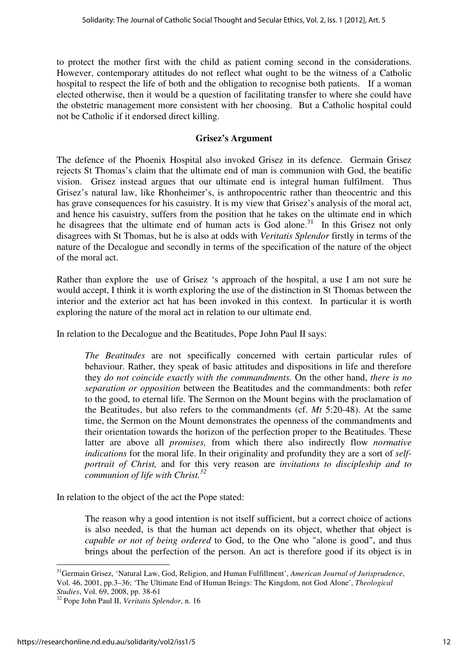to protect the mother first with the child as patient coming second in the considerations. However, contemporary attitudes do not reflect what ought to be the witness of a Catholic hospital to respect the life of both and the obligation to recognise both patients. If a woman elected otherwise, then it would be a question of facilitating transfer to where she could have the obstetric management more consistent with her choosing. But a Catholic hospital could not be Catholic if it endorsed direct killing.

#### **Grisez's Argument**

The defence of the Phoenix Hospital also invoked Grisez in its defence. Germain Grisez rejects St Thomas's claim that the ultimate end of man is communion with God, the beatific vision. Grisez instead argues that our ultimate end is integral human fulfilment. Thus Grisez's natural law, like Rhonheimer's, is anthropocentric rather than theocentric and this has grave consequences for his casuistry. It is my view that Grisez's analysis of the moral act, and hence his casuistry, suffers from the position that he takes on the ultimate end in which he disagrees that the ultimate end of human acts is God alone.<sup>31</sup> In this Grisez not only disagrees with St Thomas, but he is also at odds with *Veritatis Splendor* firstly in terms of the nature of the Decalogue and secondly in terms of the specification of the nature of the object of the moral act.

Rather than explore the use of Grisez 's approach of the hospital, a use I am not sure he would accept, I think it is worth exploring the use of the distinction in St Thomas between the interior and the exterior act hat has been invoked in this context. In particular it is worth exploring the nature of the moral act in relation to our ultimate end.

In relation to the Decalogue and the Beatitudes, Pope John Paul II says:

*The Beatitudes* are not specifically concerned with certain particular rules of behaviour. Rather, they speak of basic attitudes and dispositions in life and therefore they *do not coincide exactly with the commandments.* On the other hand, *there is no separation or opposition* between the Beatitudes and the commandments: both refer to the good, to eternal life. The Sermon on the Mount begins with the proclamation of the Beatitudes, but also refers to the commandments (cf. *Mt* 5:20-48). At the same time, the Sermon on the Mount demonstrates the openness of the commandments and their orientation towards the horizon of the perfection proper to the Beatitudes. These latter are above all *promises,* from which there also indirectly flow *normative indications* for the moral life. In their originality and profundity they are a sort of *selfportrait of Christ,* and for this very reason are *invitations to discipleship and to communion of life with Christ.<sup>32</sup>*

In relation to the object of the act the Pope stated:

The reason why a good intention is not itself sufficient, but a correct choice of actions is also needed, is that the human act depends on its object, whether that object is *capable or not of being ordered* to God, to the One who "alone is good", and thus brings about the perfection of the person. An act is therefore good if its object is in

<sup>31</sup>Germain Grisez, 'Natural Law, God, Religion, and Human Fulfillment', *American Journal of Jurisprudence*, Vol. 46, 2001, pp.3–36; 'The Ultimate End of Human Beings: The Kingdom, not God Alone', *Theological Studies*, Vol. 69, 2008, pp. 38-61

<sup>32</sup> Pope John Paul II, *Veritatis Splendor*, n. 16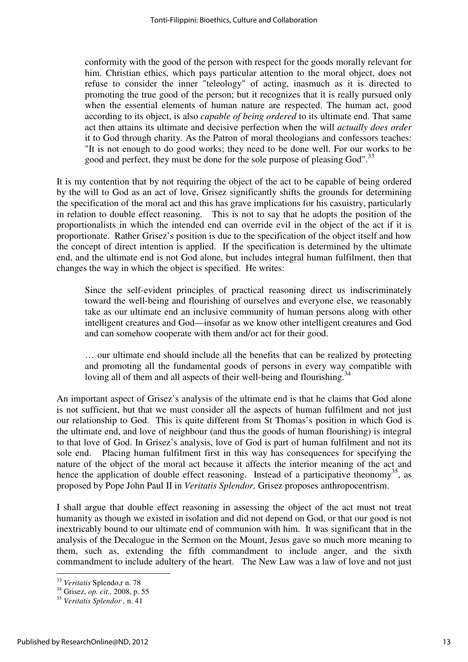conformity with the good of the person with respect for the goods morally relevant for him. Christian ethics, which pays particular attention to the moral object, does not refuse to consider the inner "teleology" of acting, inasmuch as it is directed to promoting the true good of the person; but it recognizes that it is really pursued only when the essential elements of human nature are respected. The human act, good according to its object, is also *capable of being ordered* to its ultimate end. That same act then attains its ultimate and decisive perfection when the will *actually does order*  it to God through charity. As the Patron of moral theologians and confessors teaches: "It is not enough to do good works; they need to be done well. For our works to be good and perfect, they must be done for the sole purpose of pleasing God".<sup>33</sup>

It is my contention that by not requiring the object of the act to be capable of being ordered by the will to God as an act of love, Grisez significantly shifts the grounds for determining the specification of the moral act and this has grave implications for his casuistry, particularly in relation to double effect reasoning. This is not to say that he adopts the position of the proportionalists in which the intended end can override evil in the object of the act if it is proportionate. Rather Grisez's position is due to the specification of the object itself and how the concept of direct intention is applied. If the specification is determined by the ultimate end, and the ultimate end is not God alone, but includes integral human fulfilment, then that changes the way in which the object is specified. He writes:

Since the self-evident principles of practical reasoning direct us indiscriminately toward the well-being and flourishing of ourselves and everyone else, we reasonably take as our ultimate end an inclusive community of human persons along with other intelligent creatures and God—insofar as we know other intelligent creatures and God and can somehow cooperate with them and/or act for their good.

… our ultimate end should include all the benefits that can be realized by protecting and promoting all the fundamental goods of persons in every way compatible with loving all of them and all aspects of their well-being and flourishing.<sup>34</sup>

An important aspect of Grisez's analysis of the ultimate end is that he claims that God alone is not sufficient, but that we must consider all the aspects of human fulfilment and not just our relationship to God. This is quite different from St Thomas's position in which God is the ultimate end, and love of neighbour (and thus the goods of human flourishing) is integral to that love of God. In Grisez's analysis, love of God is part of human fulfilment and not its sole end. Placing human fulfilment first in this way has consequences for specifying the nature of the object of the moral act because it affects the interior meaning of the act and hence the application of double effect reasoning. Instead of a participative theonomy<sup>35</sup>, as proposed by Pope John Paul II in *Veritatis Splendor,* Grisez proposes anthropocentrism.

I shall argue that double effect reasoning in assessing the object of the act must not treat humanity as though we existed in isolation and did not depend on God, or that our good is not inextricably bound to our ultimate end of communion with him. It was significant that in the analysis of the Decalogue in the Sermon on the Mount, Jesus gave so much more meaning to them, such as, extending the fifth commandment to include anger, and the sixth commandment to include adultery of the heart. The New Law was a law of love and not just

<sup>33</sup> *Veritatis* Splendo,r n. 78

<sup>34</sup> Grisez, *op. cit.,* 2008, p. 55

<sup>35</sup> *Veritatis Splendor ,* n. 41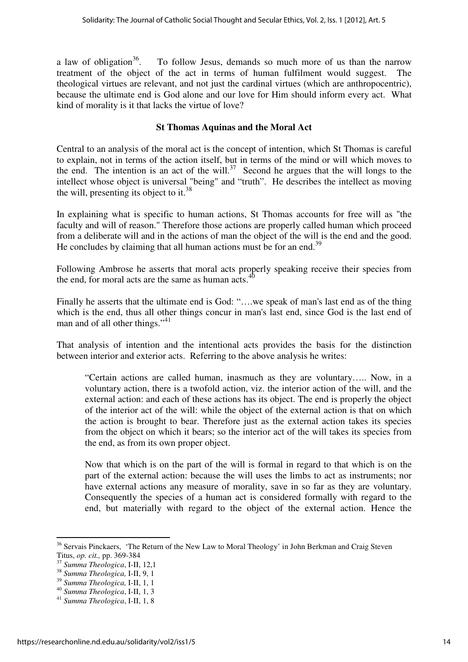a law of obligation<sup>36</sup>. To follow Jesus, demands so much more of us than the narrow treatment of the object of the act in terms of human fulfilment would suggest. The theological virtues are relevant, and not just the cardinal virtues (which are anthropocentric), because the ultimate end is God alone and our love for Him should inform every act. What kind of morality is it that lacks the virtue of love?

### **St Thomas Aquinas and the Moral Act**

Central to an analysis of the moral act is the concept of intention, which St Thomas is careful to explain, not in terms of the action itself, but in terms of the mind or will which moves to the end. The intention is an act of the will.<sup>37</sup> Second he argues that the will longs to the intellect whose object is universal "being" and "truth". He describes the intellect as moving the will, presenting its object to it. $^{38}$ 

In explaining what is specific to human actions, St Thomas accounts for free will as "the faculty and will of reason." Therefore those actions are properly called human which proceed from a deliberate will and in the actions of man the object of the will is the end and the good. He concludes by claiming that all human actions must be for an end.<sup>39</sup>

Following Ambrose he asserts that moral acts properly speaking receive their species from the end, for moral acts are the same as human acts. $40$ 

Finally he asserts that the ultimate end is God: "….we speak of man's last end as of the thing which is the end, thus all other things concur in man's last end, since God is the last end of man and of all other things."<sup>41</sup>

That analysis of intention and the intentional acts provides the basis for the distinction between interior and exterior acts. Referring to the above analysis he writes:

"Certain actions are called human, inasmuch as they are voluntary….. Now, in a voluntary action, there is a twofold action, viz. the interior action of the will, and the external action: and each of these actions has its object. The end is properly the object of the interior act of the will: while the object of the external action is that on which the action is brought to bear. Therefore just as the external action takes its species from the object on which it bears; so the interior act of the will takes its species from the end, as from its own proper object.

Now that which is on the part of the will is formal in regard to that which is on the part of the external action: because the will uses the limbs to act as instruments; nor have external actions any measure of morality, save in so far as they are voluntary. Consequently the species of a human act is considered formally with regard to the end, but materially with regard to the object of the external action. Hence the

 $\overline{a}$ <sup>36</sup> Servais Pinckaers, 'The Return of the New Law to Moral Theology' in John Berkman and Craig Steven Titus, *op. cit.,* pp. 369-384

<sup>37</sup> *Summa Theologica*, I-II, 12,1

<sup>38</sup> *Summa Theologica,* I-II, 9, 1

<sup>39</sup> *Summa Theologica,* I-II, 1, 1

<sup>40</sup> *Summa Theologica*, I-II, 1, 3

<sup>41</sup> *Summa Theologica*, I-II, 1, 8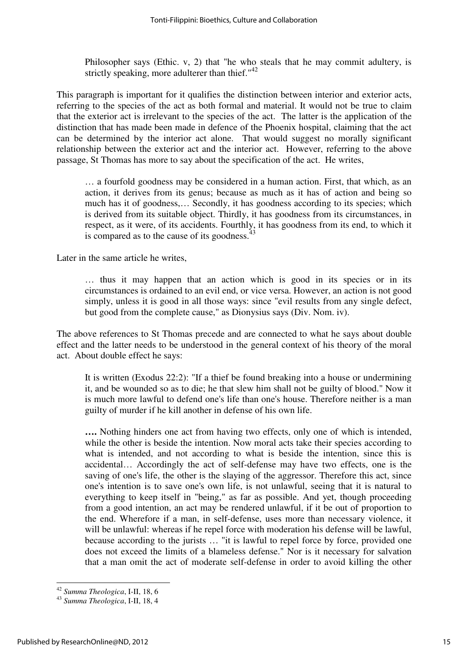Philosopher says (Ethic. v, 2) that "he who steals that he may commit adultery, is strictly speaking, more adulterer than thief." $42$ 

This paragraph is important for it qualifies the distinction between interior and exterior acts, referring to the species of the act as both formal and material. It would not be true to claim that the exterior act is irrelevant to the species of the act. The latter is the application of the distinction that has made been made in defence of the Phoenix hospital, claiming that the act can be determined by the interior act alone. That would suggest no morally significant relationship between the exterior act and the interior act. However, referring to the above passage, St Thomas has more to say about the specification of the act. He writes,

… a fourfold goodness may be considered in a human action. First, that which, as an action, it derives from its genus; because as much as it has of action and being so much has it of goodness,… Secondly, it has goodness according to its species; which is derived from its suitable object. Thirdly, it has goodness from its circumstances, in respect, as it were, of its accidents. Fourthly, it has goodness from its end, to which it is compared as to the cause of its goodness.<sup>4</sup>

Later in the same article he writes,

… thus it may happen that an action which is good in its species or in its circumstances is ordained to an evil end, or vice versa. However, an action is not good simply, unless it is good in all those ways: since "evil results from any single defect, but good from the complete cause," as Dionysius says (Div. Nom. iv).

The above references to St Thomas precede and are connected to what he says about double effect and the latter needs to be understood in the general context of his theory of the moral act. About double effect he says:

It is written (Exodus 22:2): "If a thief be found breaking into a house or undermining it, and be wounded so as to die; he that slew him shall not be guilty of blood." Now it is much more lawful to defend one's life than one's house. Therefore neither is a man guilty of murder if he kill another in defense of his own life.

**….** Nothing hinders one act from having two effects, only one of which is intended, while the other is beside the intention. Now moral acts take their species according to what is intended, and not according to what is beside the intention, since this is accidental… Accordingly the act of self-defense may have two effects, one is the saving of one's life, the other is the slaying of the aggressor. Therefore this act, since one's intention is to save one's own life, is not unlawful, seeing that it is natural to everything to keep itself in "being," as far as possible. And yet, though proceeding from a good intention, an act may be rendered unlawful, if it be out of proportion to the end. Wherefore if a man, in self-defense, uses more than necessary violence, it will be unlawful: whereas if he repel force with moderation his defense will be lawful, because according to the jurists … "it is lawful to repel force by force, provided one does not exceed the limits of a blameless defense." Nor is it necessary for salvation that a man omit the act of moderate self-defense in order to avoid killing the other

 $\overline{a}$ <sup>42</sup> *Summa Theologica*, I-II, 18, 6

<sup>43</sup> *Summa Theologica*, I-II, 18, 4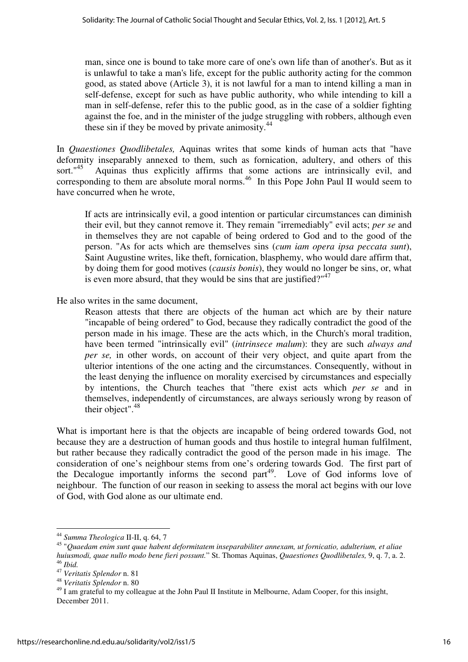man, since one is bound to take more care of one's own life than of another's. But as it is unlawful to take a man's life, except for the public authority acting for the common good, as stated above (Article 3), it is not lawful for a man to intend killing a man in self-defense, except for such as have public authority, who while intending to kill a man in self-defense, refer this to the public good, as in the case of a soldier fighting against the foe, and in the minister of the judge struggling with robbers, although even these sin if they be moved by private animosity.<sup>44</sup>

In *Quaestiones Quodlibetales,* Aquinas writes that some kinds of human acts that "have deformity inseparably annexed to them, such as fornication, adultery, and others of this sort."<sup>45</sup> Aquinas thus explicitly affirms that some actions are intrinsically evil, and corresponding to them are absolute moral norms.<sup>46</sup> In this Pope John Paul II would seem to have concurred when he wrote,

If acts are intrinsically evil, a good intention or particular circumstances can diminish their evil, but they cannot remove it. They remain "irremediably" evil acts; *per se* and in themselves they are not capable of being ordered to God and to the good of the person. "As for acts which are themselves sins (*cum iam opera ipsa peccata sunt*), Saint Augustine writes, like theft, fornication, blasphemy, who would dare affirm that, by doing them for good motives (*causis bonis*), they would no longer be sins, or, what is even more absurd, that they would be sins that are justified?"<sup>47</sup>

He also writes in the same document,

Reason attests that there are objects of the human act which are by their nature "incapable of being ordered" to God, because they radically contradict the good of the person made in his image. These are the acts which, in the Church's moral tradition, have been termed "intrinsically evil" (*intrinsece malum*): they are such *always and per se,* in other words, on account of their very object, and quite apart from the ulterior intentions of the one acting and the circumstances. Consequently, without in the least denying the influence on morality exercised by circumstances and especially by intentions, the Church teaches that "there exist acts which *per se* and in themselves, independently of circumstances, are always seriously wrong by reason of their object". $48$ 

What is important here is that the objects are incapable of being ordered towards God, not because they are a destruction of human goods and thus hostile to integral human fulfilment, but rather because they radically contradict the good of the person made in his image. The consideration of one's neighbour stems from one's ordering towards God. The first part of the Decalogue importantly informs the second part<sup>49</sup>. Love of God informs love of neighbour. The function of our reason in seeking to assess the moral act begins with our love of God, with God alone as our ultimate end.

 $\overline{a}$ <sup>44</sup> *Summa Theologica* II-II, q. 64, 7

<sup>45</sup> "*Quaedam enim sunt quae habent deformitatem inseparabiliter annexam, ut fornicatio, adulterium, et aliae huiusmodi, quae nullo modo bene fieri possunt.*" St. Thomas Aquinas, *Quaestiones Quodlibetales,* 9, q. 7, a. 2. <sup>46</sup> *Ibid.*

<sup>47</sup> *Veritatis Splendor* n. 81

<sup>48</sup> *Veritatis Splendor* n. 80

<sup>&</sup>lt;sup>49</sup> I am grateful to my colleague at the John Paul II Institute in Melbourne, Adam Cooper, for this insight, December 2011.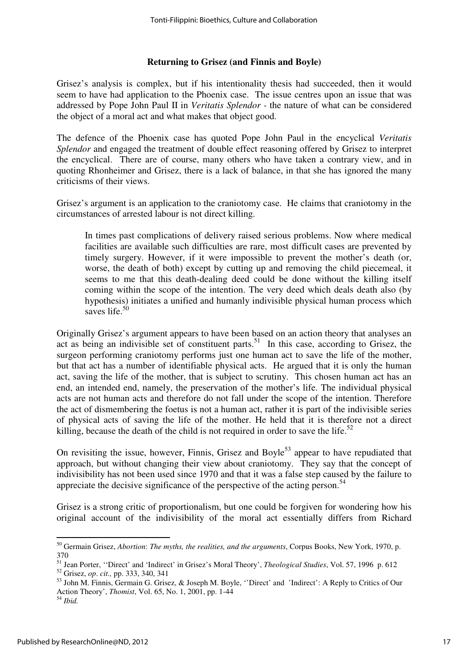#### **Returning to Grisez (and Finnis and Boyle)**

Grisez's analysis is complex, but if his intentionality thesis had succeeded, then it would seem to have had application to the Phoenix case. The issue centres upon an issue that was addressed by Pope John Paul II in *Veritatis Splendor -* the nature of what can be considered the object of a moral act and what makes that object good.

The defence of the Phoenix case has quoted Pope John Paul in the encyclical *Veritatis Splendor* and engaged the treatment of double effect reasoning offered by Grisez to interpret the encyclical. There are of course, many others who have taken a contrary view, and in quoting Rhonheimer and Grisez, there is a lack of balance, in that she has ignored the many criticisms of their views.

Grisez's argument is an application to the craniotomy case. He claims that craniotomy in the circumstances of arrested labour is not direct killing.

In times past complications of delivery raised serious problems. Now where medical facilities are available such difficulties are rare, most difficult cases are prevented by timely surgery. However, if it were impossible to prevent the mother's death (or, worse, the death of both) except by cutting up and removing the child piecemeal, it seems to me that this death-dealing deed could be done without the killing itself coming within the scope of the intention. The very deed which deals death also (by hypothesis) initiates a unified and humanly indivisible physical human process which saves life. $50$ 

Originally Grisez's argument appears to have been based on an action theory that analyses an act as being an indivisible set of constituent parts.<sup>51</sup> In this case, according to Grisez, the surgeon performing craniotomy performs just one human act to save the life of the mother, but that act has a number of identifiable physical acts. He argued that it is only the human act, saving the life of the mother, that is subject to scrutiny. This chosen human act has an end, an intended end, namely, the preservation of the mother's life. The individual physical acts are not human acts and therefore do not fall under the scope of the intention. Therefore the act of dismembering the foetus is not a human act, rather it is part of the indivisible series of physical acts of saving the life of the mother. He held that it is therefore not a direct killing, because the death of the child is not required in order to save the life.<sup>52</sup>

On revisiting the issue, however, Finnis, Grisez and Boyle<sup>53</sup> appear to have repudiated that approach, but without changing their view about craniotomy. They say that the concept of indivisibility has not been used since 1970 and that it was a false step caused by the failure to appreciate the decisive significance of the perspective of the acting person.<sup>54</sup>

Grisez is a strong critic of proportionalism, but one could be forgiven for wondering how his original account of the indivisibility of the moral act essentially differs from Richard

 $\overline{a}$ <sup>50</sup> Germain Grisez, *Abortion*: *The myths, the realities, and the arguments*, Corpus Books, New York, 1970, p. 370

<sup>51</sup> Jean Porter, ''Direct' and 'Indirect' in Grisez's Moral Theory', *Theological Studies*, Vol. 57, 1996 p. 612

<sup>52</sup> Grisez, *op*. *cit.,* pp. 333, 340, 341

<sup>&</sup>lt;sup>53</sup> John M. Finnis, Germain G. Grisez, & Joseph M. Boyle, "Direct' and 'Indirect': A Reply to Critics of Our Action Theory', *Thomist*, Vol. 65, No. 1, 2001, pp. 1-44

<sup>54</sup> *Ibid.*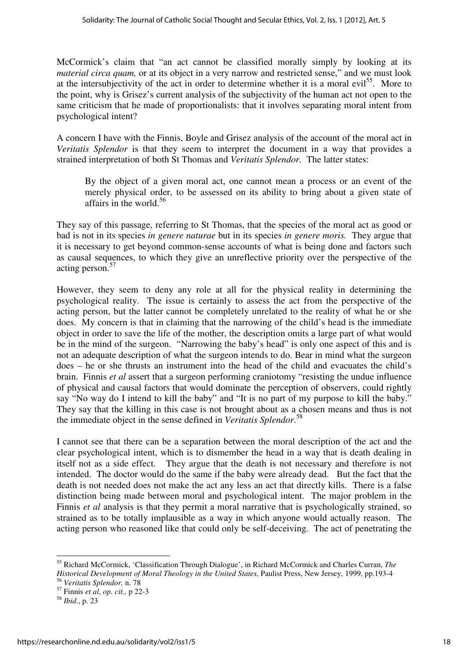McCormick's claim that "an act cannot be classified morally simply by looking at its *material circa quam,* or at its object in a very narrow and restricted sense," and we must look at the intersubjectivity of the act in order to determine whether it is a moral evil<sup>55</sup>. More to the point, why is Grisez's current analysis of the subjectivity of the human act not open to the same criticism that he made of proportionalists: that it involves separating moral intent from psychological intent?

A concern I have with the Finnis, Boyle and Grisez analysis of the account of the moral act in *Veritatis Splendor* is that they seem to interpret the document in a way that provides a strained interpretation of both St Thomas and *Veritatis Splendor.* The latter states:

By the object of a given moral act, one cannot mean a process or an event of the merely physical order, to be assessed on its ability to bring about a given state of affairs in the world.<sup>56</sup>

They say of this passage, referring to St Thomas, that the species of the moral act as good or bad is not in its species *in genere naturae* but in its species *in genere moris.* They argue that it is necessary to get beyond common-sense accounts of what is being done and factors such as causal sequences, to which they give an unreflective priority over the perspective of the acting person.<sup>57</sup>

However, they seem to deny any role at all for the physical reality in determining the psychological reality. The issue is certainly to assess the act from the perspective of the acting person, but the latter cannot be completely unrelated to the reality of what he or she does. My concern is that in claiming that the narrowing of the child's head is the immediate object in order to save the life of the mother, the description omits a large part of what would be in the mind of the surgeon. "Narrowing the baby's head" is only one aspect of this and is not an adequate description of what the surgeon intends to do. Bear in mind what the surgeon does – he or she thrusts an instrument into the head of the child and evacuates the child's brain. Finnis *et al* assert that a surgeon performing craniotomy "resisting the undue influence of physical and causal factors that would dominate the perception of observers, could rightly say "No way do I intend to kill the baby" and "It is no part of my purpose to kill the baby." They say that the killing in this case is not brought about as a chosen means and thus is not the immediate object in the sense defined in *Veritatis Splendor*. 58

I cannot see that there can be a separation between the moral description of the act and the clear psychological intent, which is to dismember the head in a way that is death dealing in itself not as a side effect. They argue that the death is not necessary and therefore is not intended. The doctor would do the same if the baby were already dead. But the fact that the death is not needed does not make the act any less an act that directly kills. There is a false distinction being made between moral and psychological intent. The major problem in the Finnis *et al* analysis is that they permit a moral narrative that is psychologically strained, so strained as to be totally implausible as a way in which anyone would actually reason. The acting person who reasoned like that could only be self-deceiving. The act of penetrating the

<sup>55</sup> Richard McCormick, 'Classification Through Dialogue', in Richard McCormick and Charles Curran, *The Historical Development of Moral Theology in the United States*, Paulist Press, New Jersey, 1999, pp.193-4 <sup>56</sup> *Veritatis Splendor,* n. 78

<sup>57</sup> Finnis *et al*, *op. cit.,* p 22-3

<sup>58</sup> *Ibid*., p. 23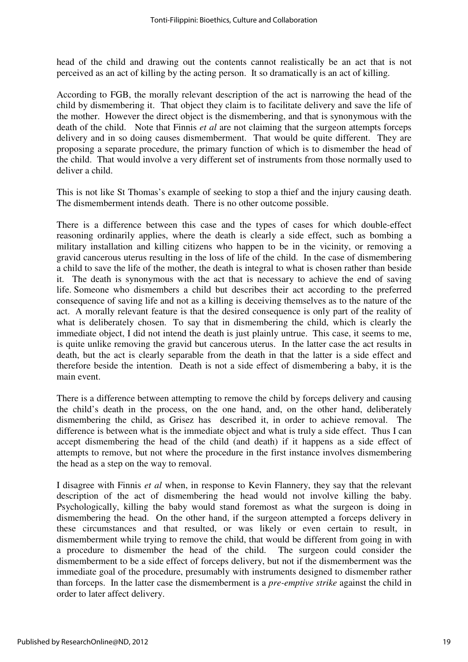head of the child and drawing out the contents cannot realistically be an act that is not perceived as an act of killing by the acting person. It so dramatically is an act of killing.

According to FGB, the morally relevant description of the act is narrowing the head of the child by dismembering it. That object they claim is to facilitate delivery and save the life of the mother. However the direct object is the dismembering, and that is synonymous with the death of the child. Note that Finnis *et al* are not claiming that the surgeon attempts forceps delivery and in so doing causes dismemberment. That would be quite different. They are proposing a separate procedure, the primary function of which is to dismember the head of the child. That would involve a very different set of instruments from those normally used to deliver a child.

This is not like St Thomas's example of seeking to stop a thief and the injury causing death. The dismemberment intends death. There is no other outcome possible.

There is a difference between this case and the types of cases for which double-effect reasoning ordinarily applies, where the death is clearly a side effect, such as bombing a military installation and killing citizens who happen to be in the vicinity, or removing a gravid cancerous uterus resulting in the loss of life of the child. In the case of dismembering a child to save the life of the mother, the death is integral to what is chosen rather than beside it. The death is synonymous with the act that is necessary to achieve the end of saving life. Someone who dismembers a child but describes their act according to the preferred consequence of saving life and not as a killing is deceiving themselves as to the nature of the act. A morally relevant feature is that the desired consequence is only part of the reality of what is deliberately chosen. To say that in dismembering the child, which is clearly the immediate object, I did not intend the death is just plainly untrue. This case, it seems to me, is quite unlike removing the gravid but cancerous uterus. In the latter case the act results in death, but the act is clearly separable from the death in that the latter is a side effect and therefore beside the intention. Death is not a side effect of dismembering a baby, it is the main event.

There is a difference between attempting to remove the child by forceps delivery and causing the child's death in the process, on the one hand, and, on the other hand, deliberately dismembering the child, as Grisez has described it, in order to achieve removal. The difference is between what is the immediate object and what is truly a side effect. Thus I can accept dismembering the head of the child (and death) if it happens as a side effect of attempts to remove, but not where the procedure in the first instance involves dismembering the head as a step on the way to removal.

I disagree with Finnis *et al* when, in response to Kevin Flannery, they say that the relevant description of the act of dismembering the head would not involve killing the baby. Psychologically, killing the baby would stand foremost as what the surgeon is doing in dismembering the head. On the other hand, if the surgeon attempted a forceps delivery in these circumstances and that resulted, or was likely or even certain to result, in dismemberment while trying to remove the child, that would be different from going in with a procedure to dismember the head of the child. The surgeon could consider the dismemberment to be a side effect of forceps delivery, but not if the dismemberment was the immediate goal of the procedure, presumably with instruments designed to dismember rather than forceps. In the latter case the dismemberment is a *pre-emptive strike* against the child in order to later affect delivery.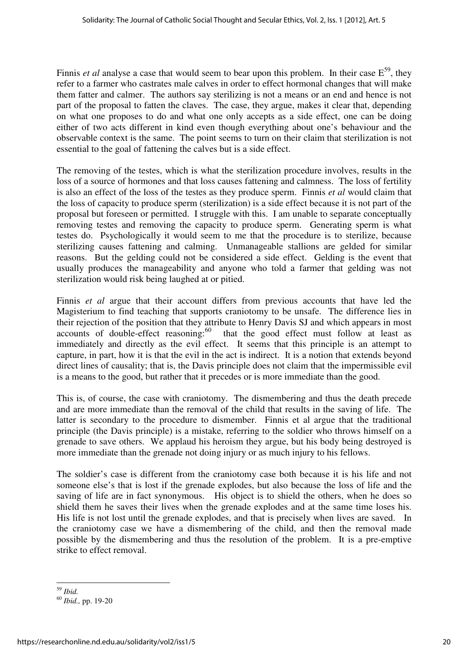Finnis *et al* analyse a case that would seem to bear upon this problem. In their case  $E^{59}$ , they refer to a farmer who castrates male calves in order to effect hormonal changes that will make them fatter and calmer. The authors say sterilizing is not a means or an end and hence is not part of the proposal to fatten the claves. The case, they argue, makes it clear that, depending on what one proposes to do and what one only accepts as a side effect, one can be doing either of two acts different in kind even though everything about one's behaviour and the observable context is the same. The point seems to turn on their claim that sterilization is not essential to the goal of fattening the calves but is a side effect.

The removing of the testes, which is what the sterilization procedure involves, results in the loss of a source of hormones and that loss causes fattening and calmness. The loss of fertility is also an effect of the loss of the testes as they produce sperm. Finnis *et al* would claim that the loss of capacity to produce sperm (sterilization) is a side effect because it is not part of the proposal but foreseen or permitted. I struggle with this. I am unable to separate conceptually removing testes and removing the capacity to produce sperm. Generating sperm is what testes do. Psychologically it would seem to me that the procedure is to sterilize, because sterilizing causes fattening and calming. Unmanageable stallions are gelded for similar reasons. But the gelding could not be considered a side effect. Gelding is the event that usually produces the manageability and anyone who told a farmer that gelding was not sterilization would risk being laughed at or pitied.

Finnis *et al* argue that their account differs from previous accounts that have led the Magisterium to find teaching that supports craniotomy to be unsafe. The difference lies in their rejection of the position that they attribute to Henry Davis SJ and which appears in most  $\arccos$  accounts of double-effect reasoning: $60$  that the good effect must follow at least as immediately and directly as the evil effect. It seems that this principle is an attempt to capture, in part, how it is that the evil in the act is indirect. It is a notion that extends beyond direct lines of causality; that is, the Davis principle does not claim that the impermissible evil is a means to the good, but rather that it precedes or is more immediate than the good.

This is, of course, the case with craniotomy. The dismembering and thus the death precede and are more immediate than the removal of the child that results in the saving of life. The latter is secondary to the procedure to dismember. Finnis et al argue that the traditional principle (the Davis principle) is a mistake, referring to the soldier who throws himself on a grenade to save others. We applaud his heroism they argue, but his body being destroyed is more immediate than the grenade not doing injury or as much injury to his fellows.

The soldier's case is different from the craniotomy case both because it is his life and not someone else's that is lost if the grenade explodes, but also because the loss of life and the saving of life are in fact synonymous. His object is to shield the others, when he does so shield them he saves their lives when the grenade explodes and at the same time loses his. His life is not lost until the grenade explodes, and that is precisely when lives are saved. In the craniotomy case we have a dismembering of the child, and then the removal made possible by the dismembering and thus the resolution of the problem. It is a pre-emptive strike to effect removal.

 $\overline{a}$ <sup>59</sup> *Ibid.*

<sup>60</sup> *Ibid.,* pp. 19-20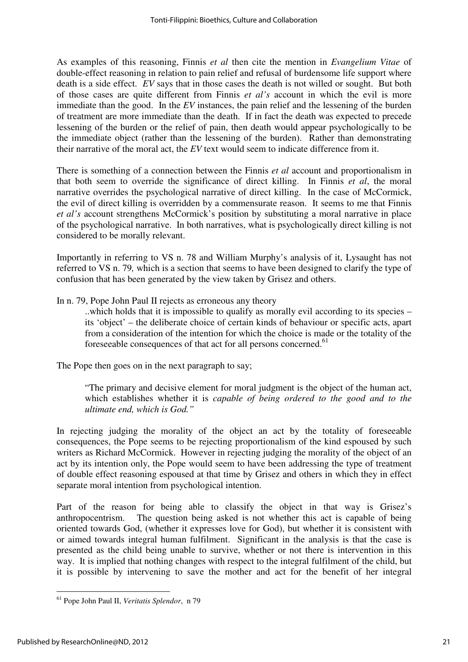As examples of this reasoning, Finnis *et al* then cite the mention in *Evangelium Vitae* of double-effect reasoning in relation to pain relief and refusal of burdensome life support where death is a side effect. *EV* says that in those cases the death is not willed or sought. But both of those cases are quite different from Finnis *et al's* account in which the evil is more immediate than the good. In the *EV* instances, the pain relief and the lessening of the burden of treatment are more immediate than the death. If in fact the death was expected to precede lessening of the burden or the relief of pain, then death would appear psychologically to be the immediate object (rather than the lessening of the burden). Rather than demonstrating their narrative of the moral act, the *EV* text would seem to indicate difference from it.

There is something of a connection between the Finnis *et al* account and proportionalism in that both seem to override the significance of direct killing. In Finnis *et al*, the moral narrative overrides the psychological narrative of direct killing. In the case of McCormick, the evil of direct killing is overridden by a commensurate reason. It seems to me that Finnis *et al's* account strengthens McCormick's position by substituting a moral narrative in place of the psychological narrative. In both narratives, what is psychologically direct killing is not considered to be morally relevant.

Importantly in referring to VS n. 78 and William Murphy's analysis of it, Lysaught has not referred to VS n. 79*,* which is a section that seems to have been designed to clarify the type of confusion that has been generated by the view taken by Grisez and others.

In n. 79, Pope John Paul II rejects as erroneous any theory

..which holds that it is impossible to qualify as morally evil according to its species – its 'object' – the deliberate choice of certain kinds of behaviour or specific acts, apart from a consideration of the intention for which the choice is made or the totality of the foreseeable consequences of that act for all persons concerned.<sup>61</sup>

The Pope then goes on in the next paragraph to say;

"The primary and decisive element for moral judgment is the object of the human act, which establishes whether it is *capable of being ordered to the good and to the ultimate end, which is God."* 

In rejecting judging the morality of the object an act by the totality of foreseeable consequences, the Pope seems to be rejecting proportionalism of the kind espoused by such writers as Richard McCormick. However in rejecting judging the morality of the object of an act by its intention only, the Pope would seem to have been addressing the type of treatment of double effect reasoning espoused at that time by Grisez and others in which they in effect separate moral intention from psychological intention.

Part of the reason for being able to classify the object in that way is Grisez's anthropocentrism. The question being asked is not whether this act is capable of being oriented towards God, (whether it expresses love for God), but whether it is consistent with or aimed towards integral human fulfilment. Significant in the analysis is that the case is presented as the child being unable to survive, whether or not there is intervention in this way. It is implied that nothing changes with respect to the integral fulfilment of the child, but it is possible by intervening to save the mother and act for the benefit of her integral

<sup>61</sup> Pope John Paul II, *Veritatis Splendor*, n 79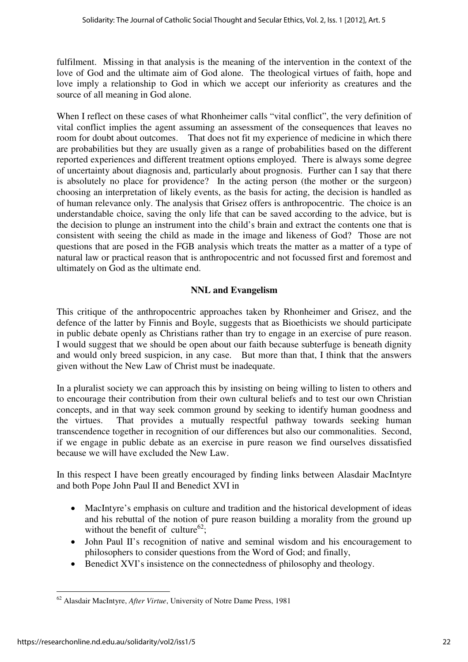fulfilment. Missing in that analysis is the meaning of the intervention in the context of the love of God and the ultimate aim of God alone. The theological virtues of faith, hope and love imply a relationship to God in which we accept our inferiority as creatures and the source of all meaning in God alone.

When I reflect on these cases of what Rhonheimer calls "vital conflict", the very definition of vital conflict implies the agent assuming an assessment of the consequences that leaves no room for doubt about outcomes. That does not fit my experience of medicine in which there are probabilities but they are usually given as a range of probabilities based on the different reported experiences and different treatment options employed. There is always some degree of uncertainty about diagnosis and, particularly about prognosis. Further can I say that there is absolutely no place for providence? In the acting person (the mother or the surgeon) choosing an interpretation of likely events, as the basis for acting, the decision is handled as of human relevance only. The analysis that Grisez offers is anthropocentric. The choice is an understandable choice, saving the only life that can be saved according to the advice, but is the decision to plunge an instrument into the child's brain and extract the contents one that is consistent with seeing the child as made in the image and likeness of God? Those are not questions that are posed in the FGB analysis which treats the matter as a matter of a type of natural law or practical reason that is anthropocentric and not focussed first and foremost and ultimately on God as the ultimate end.

## **NNL and Evangelism**

This critique of the anthropocentric approaches taken by Rhonheimer and Grisez, and the defence of the latter by Finnis and Boyle, suggests that as Bioethicists we should participate in public debate openly as Christians rather than try to engage in an exercise of pure reason. I would suggest that we should be open about our faith because subterfuge is beneath dignity and would only breed suspicion, in any case. But more than that, I think that the answers given without the New Law of Christ must be inadequate.

In a pluralist society we can approach this by insisting on being willing to listen to others and to encourage their contribution from their own cultural beliefs and to test our own Christian concepts, and in that way seek common ground by seeking to identify human goodness and the virtues. That provides a mutually respectful pathway towards seeking human transcendence together in recognition of our differences but also our commonalities. Second, if we engage in public debate as an exercise in pure reason we find ourselves dissatisfied because we will have excluded the New Law.

In this respect I have been greatly encouraged by finding links between Alasdair MacIntyre and both Pope John Paul II and Benedict XVI in

- MacIntyre's emphasis on culture and tradition and the historical development of ideas and his rebuttal of the notion of pure reason building a morality from the ground up without the benefit of culture<sup>62</sup>;
- John Paul II's recognition of native and seminal wisdom and his encouragement to philosophers to consider questions from the Word of God; and finally,
- Benedict XVI's insistence on the connectedness of philosophy and theology.

 $\overline{a}$ <sup>62</sup> Alasdair MacIntyre, *After Virtue*, University of Notre Dame Press, 1981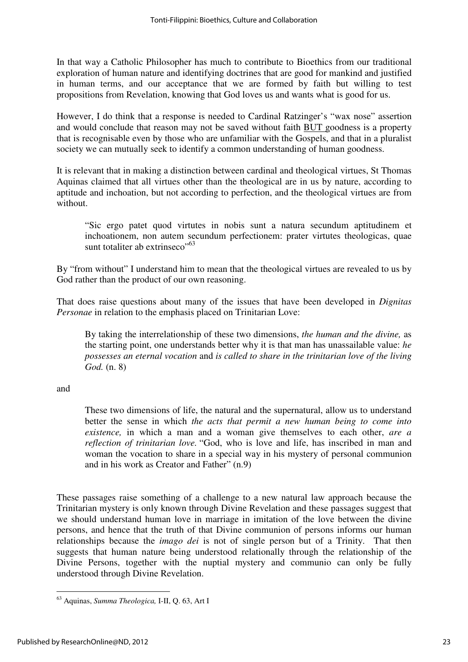In that way a Catholic Philosopher has much to contribute to Bioethics from our traditional exploration of human nature and identifying doctrines that are good for mankind and justified in human terms, and our acceptance that we are formed by faith but willing to test propositions from Revelation, knowing that God loves us and wants what is good for us.

However, I do think that a response is needed to Cardinal Ratzinger's "wax nose" assertion and would conclude that reason may not be saved without faith BUT goodness is a property that is recognisable even by those who are unfamiliar with the Gospels, and that in a pluralist society we can mutually seek to identify a common understanding of human goodness.

It is relevant that in making a distinction between cardinal and theological virtues, St Thomas Aquinas claimed that all virtues other than the theological are in us by nature, according to aptitude and inchoation, but not according to perfection, and the theological virtues are from without.

"Sic ergo patet quod virtutes in nobis sunt a natura secundum aptitudinem et inchoationem, non autem secundum perfectionem: prater virtutes theologicas, quae sunt totaliter ab extrinseco"<sup>63</sup>

By "from without" I understand him to mean that the theological virtues are revealed to us by God rather than the product of our own reasoning.

That does raise questions about many of the issues that have been developed in *Dignitas Personae* in relation to the emphasis placed on Trinitarian Love:

By taking the interrelationship of these two dimensions, *the human and the divine,* as the starting point, one understands better why it is that man has unassailable value: *he possesses an eternal vocation* and *is called to share in the trinitarian love of the living God.* (n. 8)

and

These two dimensions of life, the natural and the supernatural, allow us to understand better the sense in which *the acts that permit a new human being to come into existence,* in which a man and a woman give themselves to each other, *are a reflection of trinitarian love.* "God, who is love and life, has inscribed in man and woman the vocation to share in a special way in his mystery of personal communion and in his work as Creator and Father" (n.9)

These passages raise something of a challenge to a new natural law approach because the Trinitarian mystery is only known through Divine Revelation and these passages suggest that we should understand human love in marriage in imitation of the love between the divine persons, and hence that the truth of that Divine communion of persons informs our human relationships because the *imago dei* is not of single person but of a Trinity. That then suggests that human nature being understood relationally through the relationship of the Divine Persons, together with the nuptial mystery and communio can only be fully understood through Divine Revelation.

<sup>63</sup> Aquinas, *Summa Theologica,* I-II, Q. 63, Art I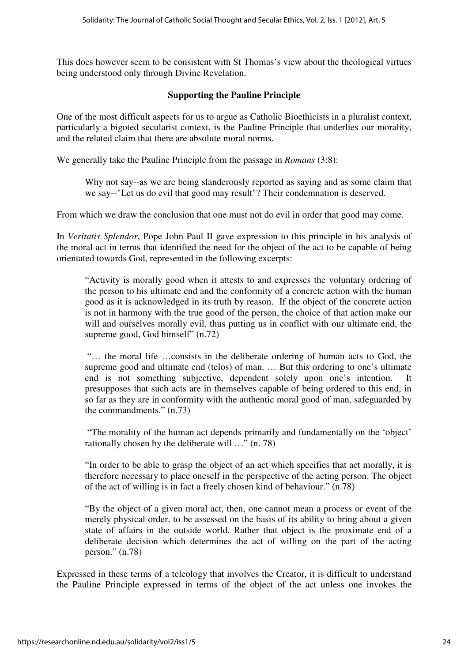This does however seem to be consistent with St Thomas's view about the theological virtues being understood only through Divine Revelation.

#### **Supporting the Pauline Principle**

One of the most difficult aspects for us to argue as Catholic Bioethicists in a pluralist context, particularly a bigoted secularist context, is the Pauline Principle that underlies our morality, and the related claim that there are absolute moral norms.

We generally take the Pauline Principle from the passage in *Romans* (3:8):

Why not say--as we are being slanderously reported as saying and as some claim that we say--"Let us do evil that good may result"? Their condemnation is deserved.

From which we draw the conclusion that one must not do evil in order that good may come.

In *Veritatis Splendor*, Pope John Paul II gave expression to this principle in his analysis of the moral act in terms that identified the need for the object of the act to be capable of being orientated towards God, represented in the following excerpts:

"Activity is morally good when it attests to and expresses the voluntary ordering of the person to his ultimate end and the conformity of a concrete action with the human good as it is acknowledged in its truth by reason. If the object of the concrete action is not in harmony with the true good of the person, the choice of that action make our will and ourselves morally evil, thus putting us in conflict with our ultimate end, the supreme good, God himself" (n.72)

 "… the moral life …consists in the deliberate ordering of human acts to God, the supreme good and ultimate end (telos) of man. … But this ordering to one's ultimate end is not something subjective, dependent solely upon one's intention. It presupposes that such acts are in themselves capable of being ordered to this end, in so far as they are in conformity with the authentic moral good of man, safeguarded by the commandments." (n.73)

 "The morality of the human act depends primarily and fundamentally on the 'object' rationally chosen by the deliberate will …" (n. 78)

"In order to be able to grasp the object of an act which specifies that act morally, it is therefore necessary to place oneself in the perspective of the acting person. The object of the act of willing is in fact a freely chosen kind of behaviour." (n.78)

"By the object of a given moral act, then, one cannot mean a process or event of the merely physical order, to be assessed on the basis of its ability to bring about a given state of affairs in the outside world. Rather that object is the proximate end of a deliberate decision which determines the act of willing on the part of the acting person." (n.78)

Expressed in these terms of a teleology that involves the Creator, it is difficult to understand the Pauline Principle expressed in terms of the object of the act unless one invokes the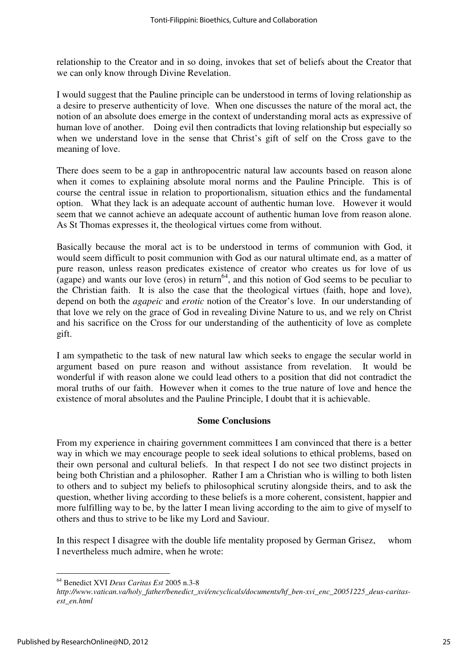relationship to the Creator and in so doing, invokes that set of beliefs about the Creator that we can only know through Divine Revelation.

I would suggest that the Pauline principle can be understood in terms of loving relationship as a desire to preserve authenticity of love. When one discusses the nature of the moral act, the notion of an absolute does emerge in the context of understanding moral acts as expressive of human love of another. Doing evil then contradicts that loving relationship but especially so when we understand love in the sense that Christ's gift of self on the Cross gave to the meaning of love.

There does seem to be a gap in anthropocentric natural law accounts based on reason alone when it comes to explaining absolute moral norms and the Pauline Principle. This is of course the central issue in relation to proportionalism, situation ethics and the fundamental option. What they lack is an adequate account of authentic human love. However it would seem that we cannot achieve an adequate account of authentic human love from reason alone. As St Thomas expresses it, the theological virtues come from without.

Basically because the moral act is to be understood in terms of communion with God, it would seem difficult to posit communion with God as our natural ultimate end, as a matter of pure reason, unless reason predicates existence of creator who creates us for love of us (agape) and wants our love (eros) in return<sup>64</sup>, and this notion of God seems to be peculiar to the Christian faith. It is also the case that the theological virtues (faith, hope and love), depend on both the *agapeic* and *erotic* notion of the Creator's love. In our understanding of that love we rely on the grace of God in revealing Divine Nature to us, and we rely on Christ and his sacrifice on the Cross for our understanding of the authenticity of love as complete gift.

I am sympathetic to the task of new natural law which seeks to engage the secular world in argument based on pure reason and without assistance from revelation. It would be wonderful if with reason alone we could lead others to a position that did not contradict the moral truths of our faith. However when it comes to the true nature of love and hence the existence of moral absolutes and the Pauline Principle, I doubt that it is achievable.

### **Some Conclusions**

From my experience in chairing government committees I am convinced that there is a better way in which we may encourage people to seek ideal solutions to ethical problems, based on their own personal and cultural beliefs. In that respect I do not see two distinct projects in being both Christian and a philosopher. Rather I am a Christian who is willing to both listen to others and to subject my beliefs to philosophical scrutiny alongside theirs, and to ask the question, whether living according to these beliefs is a more coherent, consistent, happier and more fulfilling way to be, by the latter I mean living according to the aim to give of myself to others and thus to strive to be like my Lord and Saviour.

In this respect I disagree with the double life mentality proposed by German Grisez, whom I nevertheless much admire, when he wrote:

<sup>64</sup> Benedict XVI *Deus Caritas Est* 2005 n.3-8

*http://www.vatican.va/holy\_father/benedict\_xvi/encyclicals/documents/hf\_ben-xvi\_enc\_20051225\_deus-caritasest\_en.html*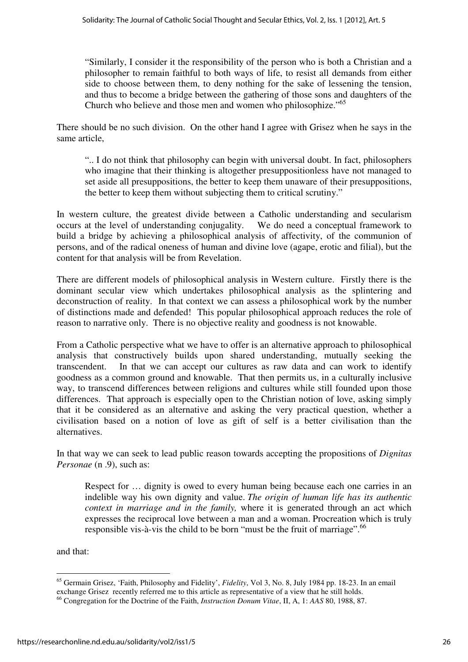"Similarly, I consider it the responsibility of the person who is both a Christian and a philosopher to remain faithful to both ways of life, to resist all demands from either side to choose between them, to deny nothing for the sake of lessening the tension, and thus to become a bridge between the gathering of those sons and daughters of the Church who believe and those men and women who philosophize."<sup>65</sup>

There should be no such division. On the other hand I agree with Grisez when he says in the same article,

".. I do not think that philosophy can begin with universal doubt. In fact, philosophers who imagine that their thinking is altogether presuppositionless have not managed to set aside all presuppositions, the better to keep them unaware of their presuppositions, the better to keep them without subjecting them to critical scrutiny."

In western culture, the greatest divide between a Catholic understanding and secularism occurs at the level of understanding conjugality. We do need a conceptual framework to build a bridge by achieving a philosophical analysis of affectivity, of the communion of persons, and of the radical oneness of human and divine love (agape, erotic and filial), but the content for that analysis will be from Revelation.

There are different models of philosophical analysis in Western culture. Firstly there is the dominant secular view which undertakes philosophical analysis as the splintering and deconstruction of reality. In that context we can assess a philosophical work by the number of distinctions made and defended! This popular philosophical approach reduces the role of reason to narrative only. There is no objective reality and goodness is not knowable.

From a Catholic perspective what we have to offer is an alternative approach to philosophical analysis that constructively builds upon shared understanding, mutually seeking the transcendent. In that we can accept our cultures as raw data and can work to identify goodness as a common ground and knowable. That then permits us, in a culturally inclusive way, to transcend differences between religions and cultures while still founded upon those differences. That approach is especially open to the Christian notion of love, asking simply that it be considered as an alternative and asking the very practical question, whether a civilisation based on a notion of love as gift of self is a better civilisation than the alternatives.

In that way we can seek to lead public reason towards accepting the propositions of *Dignitas Personae* (n .9), such as:

Respect for … dignity is owed to every human being because each one carries in an indelible way his own dignity and value. *The origin of human life has its authentic context in marriage and in the family,* where it is generated through an act which expresses the reciprocal love between a man and a woman. Procreation which is truly responsible vis-à-vis the child to be born "must be the fruit of marriage".<sup>66</sup>

and that:

 $\overline{a}$ <sup>65</sup> Germain Grisez, 'Faith, Philosophy and Fidelity', *Fidelity*, Vol 3, No. 8, July 1984 pp. 18-23. In an email exchange Grisez recently referred me to this article as representative of a view that he still holds.

<sup>66</sup> Congregation for the Doctrine of the Faith, *Instruction Donum Vitae*, II, A, 1: *AAS* 80, 1988, 87.